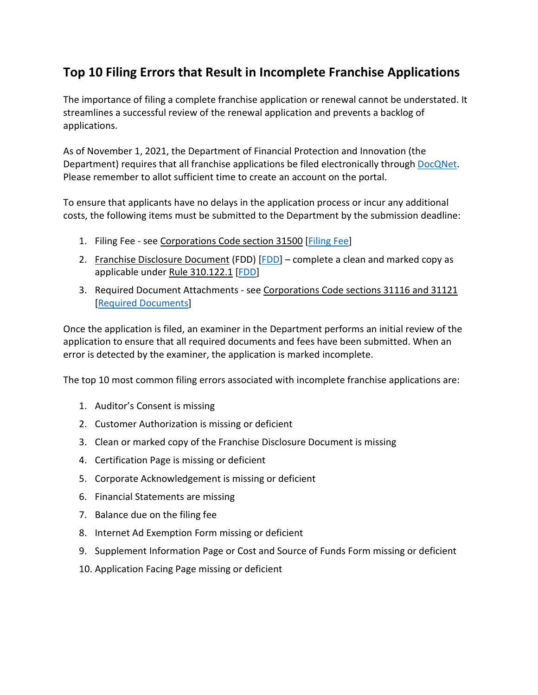## **Top 10 Filing Errors that Result in Incomplete Franchise Applications**

The importance of filing a complete franchise application or renewal cannot be understated. It streamlines a successful review of the renewal application and prevents a backlog of applications.

As of November 1, 2021, the Department of Financial Protection and Innovation (the Department) requires that all franchise applications be filed electronically through [DocQNet.](https://docqnet.dfpi.ca.gov/) Please remember to allot sufficient time to create an account on the portal.

To ensure that applicants have no delays in the application process or incur any additional costs, the following items must be submitted to the Department by the submission deadline:

- 1. Filing Fee see Corporations Code section 31500 [\[Filing Fee\]](https://dfpi.ca.gov/instructions-on-how-to-file-a-complete-franchise-application/#b5)
- 2. Franchise Disclosure Document (FDD) [\[FDD\]](https://dfpi.ca.gov/instructions-on-how-to-file-a-complete-franchise-application/#franchisedisclosuredocument) complete a clean and marked copy as applicable under Rule 310.122.1 [\[FDD\]](https://dfpi.ca.gov/instructions-on-how-to-file-a-complete-franchise-application/#franchisedisclosuredocument)
- 3. Required Document Attachments see Corporations Code sections 31116 and 31121 [\[Required Documents\]](https://dfpi.ca.gov/instructions-on-how-to-file-a-complete-franchise-application/#b6)

Once the application is filed, an examiner in the Department performs an initial review of the application to ensure that all required documents and fees have been submitted. When an error is detected by the examiner, the application is marked incomplete.

The top 10 most common filing errors associated with incomplete franchise applications are:

- 1. Auditor's Consent is missing
- 2. Customer Authorization is missing or deficient
- 3. Clean or marked copy of the Franchise Disclosure Document is missing
- 4. Certification Page is missing or deficient
- 5. Corporate Acknowledgement is missing or deficient
- 6. Financial Statements are missing
- 7. Balance due on the filing fee
- 8. Internet Ad Exemption Form missing or deficient
- 9. Supplement Information Page or Cost and Source of Funds Form missing or deficient
- 10. Application Facing Page missing or deficient